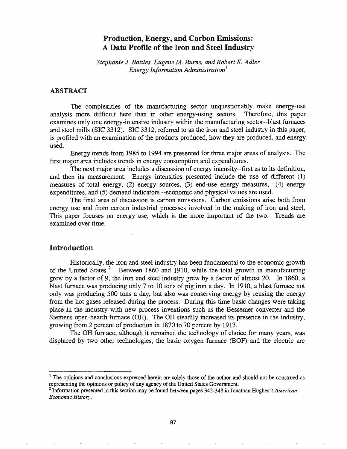# Production, Energy, and Carbon Emissions: A Data Profile of the Iron and Steel Industry

*Stephanie* J. *Battles, Eugene M. Bums, and Robert K. Adler Energy Information Administration]*

## ABSTRACT

The complexities of the manufacturing sector unquestionably make energy-use analysis more difficult here than in other energy-using sectors. Therefore, this paper examines only one energy-intensive industry within the manufacturing sector--blast furnaces and steel mills (SIC 3312). SIC 3312, referred to as the iron and steel industry in this paper, is profiled with an examination of the products produced, how they are produced, and energy used.

Energy trends from 1985 to 1994 are presented for three major areas of analysis. The first major area includes trends in energy consumption and expenditures.

The next major area includes a discussion of energy intensity--first as to its definition, and then its measurement. Energy intensities presented include the use of different (1) measures of total energy, (2) energy sources, (3) end-use energy measures, (4) energy expenditures, and (5) demand indicators --economic and physical values are used.

The final area of discussion is carbon emissions. Carbon emissions arise both from energy use and from certain industrial processes involved in the making of iron and steel. This paper focuses on energy use, which is the more important of the two. Trends are examined over time.

# Introduction

Historically, the iron and steel industry has been fundamental to the economic growth of the United States.<sup>2</sup> Between 1860 and 1910, while the total growth in manufacturing grew by a factor of 9, the iron and steel industry grew by a factor of almost 20. In 1860, a blast furnace was producing only 7 to 10 tons of pig iron a day. In 1910, a blast furnace not only was producing 500 tons a day, but also was conserving energy by reusing the energy from the hot gases released during the process. During this time basic changes were taking place the industry with new process inventions such as the Bessemer converter and the Siemens open-hearth furnace (OH). The OH steadily increased its presence in the industry, growing from 2 percent of production in 1870 to 70 percent by 1913.

The OH furnace, although it remained the technology of choice for many years, was displaced by two other technologies, the basic oxygen furnace (BOF) and the electric arc

<sup>&</sup>lt;sup>1</sup> The opinions and conclusions expressed herein are solely those of the author and should not be construed as representing the opinions or policy of any agency of the United States Government.

<sup>2</sup> Information presented in this section may be found between pages 342-348 in Jonathan Hughes's *American Economic History.*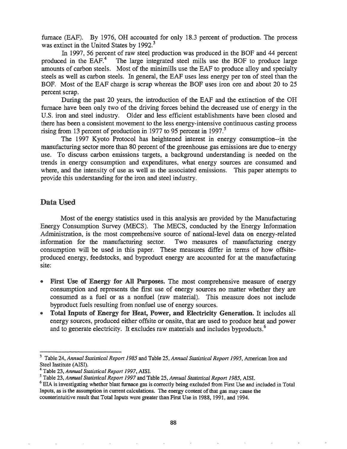furnace (EAF). By 1976, OH accounted for only 18.3 percent of production. The process was extinct in the United States by 1992.<sup>3</sup>

In 1997, 56 percent of raw steel production was produced in the BOF and 44 percent produced in the EAF. $4$  The large integrated steel mills use the BOF to produce large amounts of carbon steels. Most of the minimills use the EAF to produce alloy and specialty steels as well as carbon steels. In general, the EAF uses less energy per ton of steel than the BOF. Most of the EAF charge is scrap whereas the BOF uses iron ore and about 20 to 25 percent scrap..

During the past 20 years, the introduction of the EAF and the extinction of the OR furnace have been only two of the driving forces behind the decreased use of energy in the U.S. iron and steel industry. Older and less efficient establishments have been closed and there has been a consistent movement to the less energy-intensive continuous casting process rising from 13 percent of production in 1977 to 95 percent in 1997.<sup>5</sup>

The 1997 Kyoto Protocol has heightened interest in energy consumption--in the manufacturing sector more than 80 percent of the greenhouse gas emissions are due to energy use. To discuss carbon emissions targets, a background understanding is needed on the trends in energy consumption and expenditures, what energy sources are consumed and where, and the intensity of use as well as the associated emissions. This paper attempts to provide this understanding for the iron and steel industry.

# Data Used

Most of the energy statistics used in this analysis are provided by the Manufacturing Energy Consumption Survey (MECS). The MECS, conducted by the Energy Information Administration, is the most comprehensive source of national-level data on energy-related information for the manufacturing sector. Two measures of manufacturing energy consumption will be used in this paper. These measures differ in terms of how offsiteproduced energy, feedstocks, and byproduct energy are accounted for at the manufacturing site:

- First Use of Energy for All Purposes. The most comprehensive measure of energy consumption and represents the first use of energy sources no matter whether they are consumed as a fuel or as a nonfuel (raw material). This measure does not include byproduct fuels resulting from nonfuel use of energy sources.
- Total Inputs of Energy for Heat, Power, and Electricity Generation. It includes all energy sources, produced either offsite or onsite, that are used to produce heat and power and to generate electricity. It excludes raw materials and includes byproducts.<sup>6</sup>

<sup>3</sup> Table 24, *Annual Statistical Report* 1985 and Table 25, *Annual Statistical Report* 1995, American Iron and Steel Institute (AISI).

<sup>4</sup> Table 23, *Annual Statistical Report* 1997, AISI.

<sup>5</sup> Table 23, *Annual Statistical Report* 1997 and Table 25, *Annual Statistical Report* 1985, AISL

<sup>&</sup>lt;sup>6</sup> EIA is investigating whether blast furnace gas is correctly being excluded from First Use and included in Total Inputs, as is the assumption in current calculations. The energy content ofthat gas may cause the counterintuitive result that Total Inputs were greater than First Use in 1988, 1991, and 1994.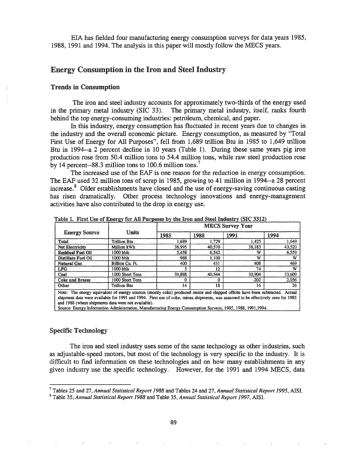EIA has fielded four manufacturing energy consumption surveys for data years 1985, 1988, 1991 and 1994. The analysis in this paper will mostly follow the MECS years.

# Energy Consumption in the Iron and Steel Industry

#### Trends in Consumption

The iron and steel industry accounts for approximately two-thirds of the energy used in the primary metal industry (SIC 33). The primary metal industry, itself, ranks fourth behind the top energy-consuming industries: petroleum, chemical, and paper.

In this industry, energy consumption has fluctuated in recent years due to changes in the industry and the overall economic picture. Energy consumption, as measured by "Total First Use of Energy for All Purposes", fell from 1,689 trillion Btu in 1985 to 1,649 trillion Btu in 1994--a 2 percent decline in 10 years (Table 1). During these same years pig iron production rose from 50.4 million tons to 54.4 million tons, while raw steel production rose by 14 percent--88.3 million tons to 100.6 million tons.<sup>7</sup>

The increased use of the EAF is one reason for the reduction in energy consumption. The EAF used 32 million tons of scrap in 1985, growing to 41 million in 1994--a 28 percent increase.<sup>8</sup> Older establishments have closed and the use of energy-saving continuous casting has risen dramatically. Other process technology innovations and energy-management activities have also contributed to the drop in energy use.

|                                                                                                                                                                                                                                                                                                                        |                 | <b>MECS Survey Year</b> |        |        |        |  |  |  |
|------------------------------------------------------------------------------------------------------------------------------------------------------------------------------------------------------------------------------------------------------------------------------------------------------------------------|-----------------|-------------------------|--------|--------|--------|--|--|--|
| <b>Energy Source</b>                                                                                                                                                                                                                                                                                                   | <b>Units</b>    | 1985                    | 1988   | 1991   | 1994   |  |  |  |
| Total                                                                                                                                                                                                                                                                                                                  | Trillion Btu    | 1.689                   | 1.729  | 1.425  | 1,649  |  |  |  |
| <b>Net Electricity</b>                                                                                                                                                                                                                                                                                                 | Million kWh     | 38,995                  | 40,570 | 38,183 | 43,520 |  |  |  |
| <b>Residual Fuel Oil</b>                                                                                                                                                                                                                                                                                               | 1000 bbls       | 5.458                   | 6.542  | w      | 6,559  |  |  |  |
| Distillate Fuel Oil                                                                                                                                                                                                                                                                                                    | 1000 bbls       | 988                     | 1.100  | w      | w      |  |  |  |
| Natural Gas                                                                                                                                                                                                                                                                                                            | Billion Cu. Ft. | 400                     | 431    | 408    | 469    |  |  |  |
| <b>LPG</b>                                                                                                                                                                                                                                                                                                             | 1000 bbls       |                         | 12     | 74     | w      |  |  |  |
| Coal                                                                                                                                                                                                                                                                                                                   | 1000 Short Tons | 39,888                  | 40.544 | 30,904 | 33,609 |  |  |  |
| Coke and Breeze                                                                                                                                                                                                                                                                                                        | 1000 Short Tons | 0                       | 0      | $-202$ | 2.056  |  |  |  |
| Other                                                                                                                                                                                                                                                                                                                  | Trillion Btu    | 14                      | 18     | 16     | 26     |  |  |  |
| Note: The energy equivalent of energy sources (mostly coke) produced onsite and shipped offsite have been subtracted. Actual<br>shipment data were available for 1991 and 1994. First use of coke, minus shipments, was assumed to be effectively zero for 1985<br>and 1988 (where shipments data were not available). |                 |                         |        |        |        |  |  |  |

Table 1. First Use of Energy for All Purposes by the Iron and Steel Industry (SIC 3312)

Source: Energy Infonnation Administration, Manufacturing Energy Consumption Surveys, 1985, 1988, 1991,1994.

## Specific Technology

The iron and steel industry uses some of the same technology as other industries, such as adjustable-speed motors, but most of the technology is very specific to the industry. It is difficult to find information on these technologies and on how many establishments in any given industry use the specific technology~ However, for the 1991 and 1994 MECS, data

<sup>7</sup> Tables 25 and 27, *Annual Statistical Report* 1988 and Tables 24 and 27, *Annual Statistical Report* 1995, AISI.

<sup>8</sup> Table 35, *Annual Statistical Report* 1988 and Table 35, *Annual Statistical Report* 1997, AISI.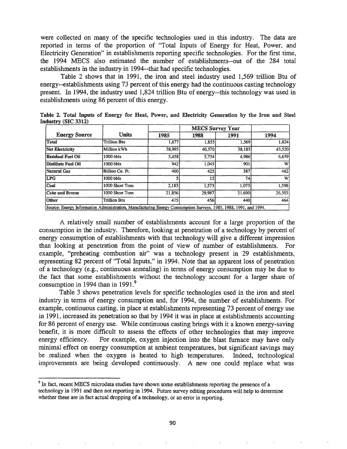were collected on many of the specific technologies used in this industry. The data are reported in terms of the proportion of "Total Inputs of Energy for Heat, Power, and Electricity Generation" in establishments reporting specific technologies. For the first time, the 1994 MECS also estimated the number of establishments--out of the 284 total establishments in the industry in 1994--that had specific technologies.

Table 2 shows that in 1991, the iron and steel industry used 1,569 trillion Btu of energy--establishments using 73 percent of this energy had the continuous casting technology present. In 1994, the industry used 1,824 trillion Btu of energy--this technology was used in establishments using 86 percent of this energy.

Industry (SIC 3312) Table 2. Total Inputs of Energy for Heat, Power, and Electricity Generation by the Iron and Steel

|                                                                                                                  |                 |        | <b>MECS Survey Year</b> |        |        |
|------------------------------------------------------------------------------------------------------------------|-----------------|--------|-------------------------|--------|--------|
| <b>Energy Source</b>                                                                                             | Units           | 1985   | 1988                    | 1991   | 1994   |
| Total                                                                                                            | Trillion Btu    | 1.677  | 1,855                   | 1,569  | 1,824  |
| Net Electricity                                                                                                  | Million kWh     | 38,995 | 40,570                  | 38,183 | 43,520 |
| Residual Fuel Oil                                                                                                | 1000 bbls       | 5,458  | 5,754                   | 4.986  | 6,659  |
| Distillate Fuel Oil                                                                                              | 1000 bbls       | 942    | 1.045                   | 901    | w      |
| Natural Gas                                                                                                      | Billion Cu. Ft. | 400    | 425                     | 387    | 462    |
| <b>LPG</b>                                                                                                       | 1000 bbls       |        | 12                      | 74     | w      |
| Coal                                                                                                             | 1000 Short Tons | 2.183  | 1.573                   | 1,075  | 1,598  |
| Coke and Breeze                                                                                                  | 1000 Short Tons | 21,856 | 29,987                  | 21,690 | 26,503 |
| <b>Other</b>                                                                                                     | Trillion Btu    | 475    | 456                     | 440    | 464    |
| Source: Energy Information Administration, Manufacturing Energy Consumption Surveys, 1985, 1988, 1991, and 1994. |                 |        |                         |        |        |

A relatively small number of establishments account for a large proportion of the consumption in the industry. Therefore, looking at penetration of a technology by percent of energy consumption of establishments with that technology will give a different impression than looking at penetration from the point of view of number of establishments. For example, "preheating combustion air" was a technology present in 29 establishments, representing 82 percent of "Total Inputs," in 1994. Note that an apparent loss of penetration of a technology (e.g., continuous annealing) in terms of energy consumption may be due to the fact that some establishments without the technology account for a larger share of consumption in 1994 than in 1991.<sup>9</sup>

Table 3 shows penetration levels for specific technologies used in the iron and steel industry in terms of energy consumption and, for 1994, the number of establishments. For example, continuous casting, in place at establishments representing 73 percent of energy use in 1991, increased its penetration so that by 1994 it was in place at establishments accounting for 86 percent of energy use. While continuous casting brings with it a known energy-saving benefit, it is more difficult to assess the effects of other technologies that may improve energy efficiency. For example, oxygen injection into the blast furnace may have only minimal effect on energy consumption at ambient temperatures, but significant savings may be realized when the oxygen is heated to high temperatures. Indeed, technological improvements are being developed continuously. A new one could replace what was

<sup>&</sup>lt;sup>9</sup> In fact, recent MECS microdata studies have shown some establishments reporting the presence of a technology in 1991 and then not reporting in 1994. Future survey editing procedures will help to determine whether these are in fact actual dropping of a technology, or an error in reporting.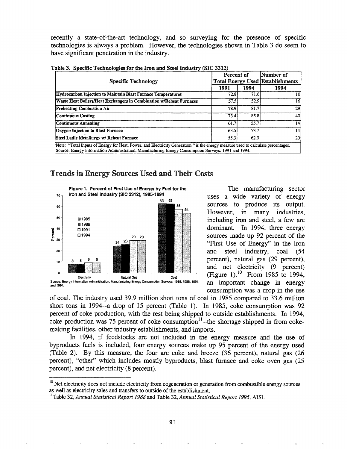recently a state-of-the-art technology, and so surveying for the presence of specific technologies is always a problem. However, the technologies shown in Table 3 do seem to have significant penetration in the industry.

| Specific Technology                                                                                                                                                                                                                     | Percent of |      | Number of<br><b>Total Energy Used Establishments</b> |  |  |  |  |  |
|-----------------------------------------------------------------------------------------------------------------------------------------------------------------------------------------------------------------------------------------|------------|------|------------------------------------------------------|--|--|--|--|--|
|                                                                                                                                                                                                                                         | 1991       | 1994 | 1994                                                 |  |  |  |  |  |
| Hydrocarbon Injection to Maintain Blast Furnace Temperatures                                                                                                                                                                            | 72.8       | 71.6 | 10                                                   |  |  |  |  |  |
| Waste Heat Boilers/Heat Exchangers in Combination w/Reheat Furnaces                                                                                                                                                                     | 57.5       | 52.9 | 16                                                   |  |  |  |  |  |
| <b>Preheating Combustion Air</b>                                                                                                                                                                                                        | 78.9       | 81.7 | 29                                                   |  |  |  |  |  |
| Continuous Casting                                                                                                                                                                                                                      | 73.4       | 85.8 | 40                                                   |  |  |  |  |  |
| <b>Continuous Annealing</b>                                                                                                                                                                                                             | 61.7       | 55.7 | 14 <sub>1</sub>                                      |  |  |  |  |  |
| Oxygen Injection to Blast Furnace                                                                                                                                                                                                       | 63.5       | 73.7 | 4                                                    |  |  |  |  |  |
| Steel Ladie Metallurgy w/ Reheat Furnace                                                                                                                                                                                                | 55.3       | 62.3 | 20                                                   |  |  |  |  |  |
| Note: "Total Inputs of Energy for Heat, Power, and Electricity Generation " is the energy measure used to calculate percentages.<br>Source: Energy Information Administration, Manufacturing Energy Consumption Surveys, 1991 and 1994. |            |      |                                                      |  |  |  |  |  |

Table 3. Specific Technologies for the Iron and Steel Industry (SIC 3312)

# **Trends in Energy Sources Used and Their Costs**



The manufacturing sector uses a wide variety of energy sources to produce its output. However, in many industries, including iron and steel, a few are dominant. In 1994, three energy sources made up 92 percent of the "First Use of Energy" in the iron steel industry, coal and  $(54)$ percent), natural gas (29 percent), and net electricity (9 percent) (Figure 1).<sup>10</sup> From 1985 to 1994, an important change in energy consumption was a drop in the use

of coal. The industry used 39.9 million short tons of coal in 1985 compared to 33.6 million short tons in 1994--a drop of 15 percent (Table 1). In 1985, coke consumption was 92 percent of coke production, with the rest being shipped to outside establishments. In 1994, coke production was 75 percent of coke consumption $11$ --the shortage shipped in from cokemaking facilities, other industry establishments, and imports.

In 1994, if feedstocks are not included in the energy measure and the use of byproducts fuels is included, four energy sources make up 95 percent of the energy used (Table 2). By this measure, the four are coke and breeze (36 percent), natural gas (26 percent), "other" which includes mostly byproducts, blast furnace and coke oven gas (25) percent), and net electricity (8 percent).

91

<sup>&</sup>lt;sup>10</sup> Net electricity does not include electricity from cogeneration or generation from combustible energy sources as well as electricity sales and transfers to outside of the establishment.

<sup>&</sup>lt;sup>11</sup>Table 32, Annual Statistical Report 1988 and Table 32, Annual Statistical Report 1995, AISI.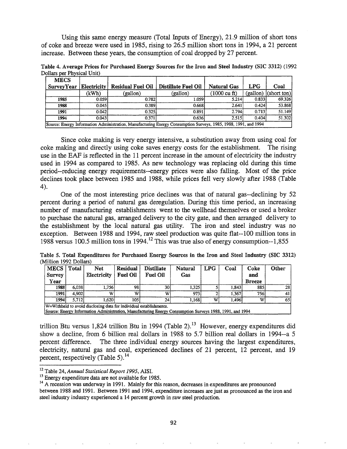Using this same energy measure (Total Inputs of Energy), 21.9 million of short tons of coke and breeze were used in 1985, rising to 26.5 million short tons in 1994, a 21 percent increase. Between these years, the consumption of coal dropped by 27 percent.

Dollars per Physical Unit) Table 4. Average Prices for Purchased Energy Sources for the Iron and Steel Industry (SIC 3312) (1992

| <b>MECS</b>       |                                                                                                                 |                          |                     |              |            |                        |  |  |  |  |
|-------------------|-----------------------------------------------------------------------------------------------------------------|--------------------------|---------------------|--------------|------------|------------------------|--|--|--|--|
| <b>SurveyYear</b> | <b>Electricity</b>                                                                                              | <b>Residual Fuel Oil</b> | Distillate Fuel Oil | Natural Gas  | <b>LPG</b> | Coal                   |  |  |  |  |
|                   | (kWh)                                                                                                           | (gallon)                 | (gallon)            | (1000 cu ft) |            | $(gallon)$ (short ton) |  |  |  |  |
| 1985              | 0.0591                                                                                                          | 0.782                    | 1.0591              | 5.214        | 0.833      | 69.326                 |  |  |  |  |
| 1988              | 0.045                                                                                                           | 0.389                    | 0.6681              | 2.641        | 0.424      | 53.868                 |  |  |  |  |
| 1991              | 0.042                                                                                                           | 0.325                    | 0.891               | 2.794        | 0.713      | 51.149                 |  |  |  |  |
| 1994              | 0.0431                                                                                                          | 0.371                    | 0.636               | 2.515        | 0.404      | 51.302                 |  |  |  |  |
|                   | Source: Energy Information Administration, Manufacturing Energy Consumption Surveys, 1985, 1988, 1991, and 1994 |                          |                     |              |            |                        |  |  |  |  |

Since coke making is very energy intensive, a substitution away from using coal for coke making and directly using coke saves energy costs for the establishment. The rising use in the EAF is reflected in the 11 percent increase in the amount of electricity the industry used in 1994 as compared to 1985. As new technology was replacing old during this time period--reducing energy requirements--energy prices were also falling. Most of the price declines took place between 1985 and 1988, while prices fell very slowly after 1988 (Table 4).

One of the most interesting price declines was that of natural gas--declining by 52 percent during a period of natural gas deregulation. During this time period, an increasing number of manufacturing establishments went to the wellhead themselves or used a broker to purchase the natural gas, arranged delivery to the city gate, and then arranged delivery to the establishment by the local natural gas utility. The iron and steel industry was no exception. Between 1988 and 1994, raw steel production was quite flat--lOO million tons in 1988 versus 100.5 million tons in 1994.<sup>12</sup> This was true also of energy consumption--1,855

Table 5. Total Expenditures for Purchased Energy Sources in the Iron and Steel Industry (SIC 3312) (Million 1992 Dollars)

| <b>MECS</b>                                                        | Total | Net                                                                                                    | <b>Residual</b> | <b>Distillate</b> | Natural | <b>LPG</b> | Coal  | Coke          | Other |
|--------------------------------------------------------------------|-------|--------------------------------------------------------------------------------------------------------|-----------------|-------------------|---------|------------|-------|---------------|-------|
| <b>Survey</b>                                                      |       | Electricity                                                                                            | <b>Fuel Oil</b> | <b>Fuel Oil</b>   | Gas     |            |       | and           |       |
| Year                                                               |       |                                                                                                        |                 |                   |         |            |       | <b>Breeze</b> |       |
| 1988                                                               | 6.038 | 1.7561                                                                                                 | 98              | <b>30l</b>        | 1.325   |            | 1.843 | 885           | 28    |
| 1991                                                               | 4.902 | W                                                                                                      | WI              | w                 | 973     |            | 1,367 | 756           | 41    |
| 1994                                                               | 5.712 | 1.620                                                                                                  | 105 l           | 24                | 1,168   | W          | 1,496 | W.            | 65 i  |
| W=Withheld to avoid disclosing data for individual establishments. |       |                                                                                                        |                 |                   |         |            |       |               |       |
|                                                                    |       | Source: Epergy Information Administration Manufacturing Epergy Consumption Surveys 1988 1991, and 1994 |                 |                   |         |            |       |               |       |

Source: Energy Information Administration, Manufacturing Energy Consumption Surveys 1988, 1991, and 1994

trillion Btu versus 1,824 trillion Btu in 1994 (Table 2).<sup>13</sup> However, energy expenditures did show a decline, from 6 billion real dollars in 1988 to 5.7 billion real dollars in 1994--a 5 percent difference. The three individual energy sources having the largest expenditures, electricity, natural gas and coal, experienced declines of 21 percent, 12 percent, and 19 percent, respectively (Table 5).  $^{14}$ 

<sup>12</sup> Table 24, *Annual Statistical Report* 1995, AISI.

<sup>&</sup>lt;sup>13</sup> Energy expenditure data are not available for 1985.

<sup>&</sup>lt;sup>14</sup> A recession was underway in 1991. Mainly for this reason, decreases in expenditures are pronounced between 1988 and 1991. Between 1991 and 1994, expenditure increases are just as pronounced as the iron and steel industry industry experienced a 14 percent growth in raw steel production.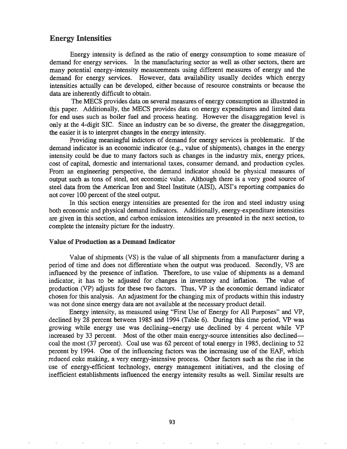## Energy Intensities

Energy intensity is defined as the ratio of energy consumption to some measure of demand for energy services. In the manufacturing sector as well as other sectors, there are many potential energy-intensity measurements using different measures of energy and the demand for energy services. However, data availability usually decides which energy intensities actually can be developed, either because of resource constraints or because the data are inherently difficult to obtain.

The MECS provides data on several measures of energy consumption as illustrated in this paper. Additionally, the MECS provides data on energy expenditures and limited data for end uses such as boiler fuel and process heating. However the disaggregation level is only at the 4-digit SIC. Since an industry can be so diverse, the greater the disaggregation, the easier it is to interpret changes in the energy intensity.

Providing meaningful indictors of demand for energy services is problematic. If the demand indicator is an economic indicator (e.g., value of shipments), changes in the energy intensity could be due to many factors such as changes in the industry mix, energy prices, cost of capital, domestic and international taxes, consumer demand, and production cycles. From an engineering perspective, the demand indicator should be physical measures of output such as tons of steel, not economic value. Although there is a very good source of steel data from the American Iron and Steel Institute (AISI), AISI's reporting companies do not cover 100 percent of the steel output.

In this section energy intensities are presented for the iron and steel industry using both economic and physical demand indicators. Additionally, energy-expenditure intensities are given in this section, and carbon emission intensities are presented in the next section, to complete the intensity picture for the industry.

### Value of Production as a Demand Indicator

Value of shipments (VS) is the value of all shipments from a manufacturer during a period of time and does not differentiate when the output was produced. Secondly, VS are influenced by the presence of inflation. Therefore, to use value of shipments as a demand indicator, it has to be adjusted for changes in inventory and inflation. The value of production (VP) adjusts for these two factors. Thus, VP is the economic demand indicator chosen for this analysis. An adjustment for the changing mix of products within this industry was not done since energy data are not available at the necessary product detail..

Energy intensity, as measured using "First Use of Energy for All Purposes" and VP, declined by 28 percent between 1985 and 1994 (Table 6). During this time period, VP was growing while energy use was declining--energy use declined by 4 percent while VP increased by 33 percent. Most of the other main energy-source intensities also declinedcoal the most (37 percent). Coal use was 62 percent of total energy in 1985, declining to 52 percent by 1994.. One of the influencing factors was the increasing use of the EAF, which reduced coke making, a very energy-intensive process. Other factors such as the rise in the use of energy-efficient technology, energy management initiatives, and the closing of inefficient establishments influenced the energy intensity results as well. Similar results are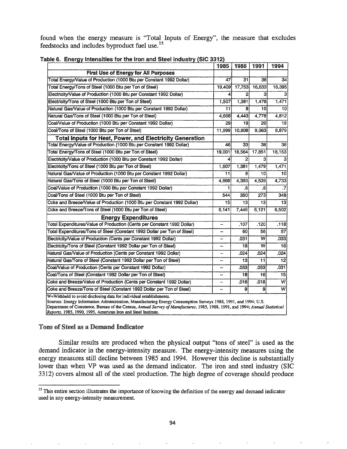found when the energy measure is "Total Inputs of Energy", the measure that excludes feedstocks and includes byproduct fuel use.<sup>15</sup>

|                                                                                                                                                                                                                                                                                                                                                                                       | 1985           | 1988   | 1991   | 1994            |  |  |  |
|---------------------------------------------------------------------------------------------------------------------------------------------------------------------------------------------------------------------------------------------------------------------------------------------------------------------------------------------------------------------------------------|----------------|--------|--------|-----------------|--|--|--|
| <b>First Use of Energy for All Purposes</b>                                                                                                                                                                                                                                                                                                                                           |                |        |        |                 |  |  |  |
| Total Energy/Value of Production (1000 Btu per Constant 1992 Dollar)                                                                                                                                                                                                                                                                                                                  | 47             | 31     | 36     | $\overline{34}$ |  |  |  |
| Total Energy/Tons of Steel (1000 Btu per Ton of Steel)                                                                                                                                                                                                                                                                                                                                | 19,409         | 17,753 | 16,633 | 16,395          |  |  |  |
| Electricity/Value of Production (1000 Btu per Constant 1992 Dollar)                                                                                                                                                                                                                                                                                                                   | 4              | 2      | 3      |                 |  |  |  |
| Electricity/Tons of Steel (1000 Btu per Ton of Steel)                                                                                                                                                                                                                                                                                                                                 | 1.507          | 1,381  | 1,479  | 1,471           |  |  |  |
| Natural Gas/Value of Production (1000 Btu per Constant 1992 Dollar)                                                                                                                                                                                                                                                                                                                   | 11             | 8      | 10     | $\overline{10}$ |  |  |  |
| Natural Gas/Tons of Steel (1000 Btu per Ton of Steel)                                                                                                                                                                                                                                                                                                                                 | 4.668          | 4,443  | 4,778  | 4,812           |  |  |  |
| Coal/Value of Production (1000 Btu per Constant 1992 Dollar)                                                                                                                                                                                                                                                                                                                          | 29             | 19     | 20     | 18              |  |  |  |
| Coal/Tons of Steel (1000 Btu per Ton of Steel)                                                                                                                                                                                                                                                                                                                                        | 11,999         | 10,808 | 9,363  | 8,879           |  |  |  |
| <b>Total Inputs for Heat, Power, and Electricity Generation</b>                                                                                                                                                                                                                                                                                                                       |                |        |        |                 |  |  |  |
| Total Energy/Value of Production (1000 Btu per Constant 1992 Dollar)                                                                                                                                                                                                                                                                                                                  | 46             | 33     | 38     | 38              |  |  |  |
| Total Energy/Tons of Steel (1000 Btu per Ton of Steel)                                                                                                                                                                                                                                                                                                                                | 19,001         | 18,564 | 17,851 | 18,153          |  |  |  |
| Electricity/Value of Production (1000 Btu per Constant 1992 Dollar)                                                                                                                                                                                                                                                                                                                   | 4              | 2      | 3      |                 |  |  |  |
| Electricity/Tons of Steel (1000 Btu per Ton of Steel)                                                                                                                                                                                                                                                                                                                                 | 1,507          | 1,381  | 1,479  | 1,471           |  |  |  |
| Natural Gas/Value of Production (1000 Btu per Constant 1992 Dollar)                                                                                                                                                                                                                                                                                                                   | 11             | 8      | 10     | 10              |  |  |  |
| Natural Gas/Tons of Steel (1000 Btu per Ton of Steel)                                                                                                                                                                                                                                                                                                                                 | 4,668          | 4,393  | 4,539  | 4,733           |  |  |  |
| Coal/Value of Production (1000 Btu per Constant 1992 Dollar)                                                                                                                                                                                                                                                                                                                          |                | .6     | .6     | .7              |  |  |  |
| Coal/Tons of Steel (1000 Btu per Ton of Steel)                                                                                                                                                                                                                                                                                                                                        | 544            | 350    | 273    | 348             |  |  |  |
| Coke and Breeze/Value of Production (1000 Btu per Constant 1992 Dollar)                                                                                                                                                                                                                                                                                                               | 15             | 13     | 13     | $\overline{13}$ |  |  |  |
| Coke and Breeze/Tons of Steel (1000 Btu per Ton of Steel)                                                                                                                                                                                                                                                                                                                             | 6,141          | 7.446  | 6,121  | 6,502           |  |  |  |
| <b>Energy Expenditures</b>                                                                                                                                                                                                                                                                                                                                                            |                |        |        |                 |  |  |  |
| Total Expenditures/Value of Production (Cents per Constant 1992 Dollar)                                                                                                                                                                                                                                                                                                               | $\sim$         | .107   | .120   | .118            |  |  |  |
| Total Expenditures/Tons of Steel (Constant 1992 Dollar per Ton of Steel)                                                                                                                                                                                                                                                                                                              | --             | 60     | 56     | 57              |  |  |  |
| Electricity/Value of Production (Cents per Constant 1992 Dollar)                                                                                                                                                                                                                                                                                                                      | --             | .031   | W      | .033            |  |  |  |
| Electricity/Tons of Steel (Constant 1992 Dollar per Ton of Steel)                                                                                                                                                                                                                                                                                                                     | $\blacksquare$ | 18     | W      | 16              |  |  |  |
| Natural Gas/Value of Production (Cents per Constant 1992 Dollar)                                                                                                                                                                                                                                                                                                                      | --             | .024   | .024   | .024            |  |  |  |
| Natural Gas/Tons of Steel (Constant 1992 Dollar per Ton of Steel)                                                                                                                                                                                                                                                                                                                     | --             | 13     | 11     | 12              |  |  |  |
| Coal/Value of Production (Cents per Constant 1992 Dollar)                                                                                                                                                                                                                                                                                                                             |                | .033   | .033   | .031            |  |  |  |
| Coal/Tons of Steel (Constant 1992 Dollar per Ton of Steel)                                                                                                                                                                                                                                                                                                                            |                | 18     | 16     | 15.             |  |  |  |
| Coke and Breeze/Value of Production (Cents per Constant 1992 Dollar)                                                                                                                                                                                                                                                                                                                  | --             | .016   | .018   | $\overline{w}$  |  |  |  |
| $\overline{W}$<br>Coke and Breeze/Tons of Steel (Constant 1992 Dollar per Ton of Steel)<br>9<br>9<br>--                                                                                                                                                                                                                                                                               |                |        |        |                 |  |  |  |
| W=Withheld to avoid disclosing data for individual establishments.<br>Sources: Energy Information Administration, Manufacturing Energy Consumption Surveys 1988, 1991, and 1994; U.S.<br>Department of Commerce, Bureau of the Census, Annual Survey of Manufactures, 1985, 1988, 1991, and 1994; Annual Statistical<br>Reports, 1985, 1990, 1995, American Iron and Steel Institute. |                |        |        |                 |  |  |  |

|  | Table 6. Energy Intensities for the Iron and Steel Industry (SIC 3312) |  |  |  |  |
|--|------------------------------------------------------------------------|--|--|--|--|
|--|------------------------------------------------------------------------|--|--|--|--|

## Tons of Steel as a Demand Indicator

 $\dot{\mathcal{R}}$ 

Similar results are produced when the physical output "tons of steel" is used as the demand indicator in the energy-intensity measure. The energy-intensity measures using the energy measures still decline between 1985 and 1994. However this decline is substantially lower than when VP was used as the demand indicator. The iron and steel industry (SIC 3312) covers almost all of the steel production. The high degree of coverage should produce

 $\hat{\phi}$ 

 $\mathbb{R}^2$ 

 $\mathfrak{a}$ 

 $\bar{\alpha}$ 

 $\mathbf{s}$ 

<sup>&</sup>lt;sup>15</sup> This entire section illustrates the importance of knowing the definition of the energy and demand indicator used in any energy-intensity measurement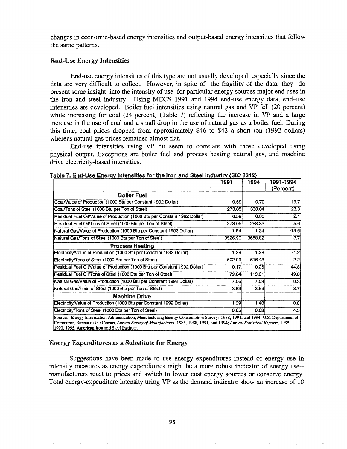changes in economic-based energy intensities and output-based energy intensities that follow the same patterns.

### End-Use Energy Intensities

End-use energy intensities of this type are not usually developed, especially since the data are very difficult to collect. However, in spite of the fragility of the data, they do present some insight into the intensity of use for particular energy sources major end uses in the iron and steel industry. Using MECS 1991 and 1994 end-use energy data, end-use intensities are developed. Boiler fuel intensities using natural gas and VP fell (20 percent) while increasing for coal (24 percent) (Table 7) reflecting the increase in VP and a large increase in the use of coal and a small drop in the use of natural gas as a boiler fuel. During this time, coal prices dropped from approximately \$46 to \$42 a short ton (1992 dollars) whereas natural gas prices remained almost flat.

End-use intensities using VP do seem to correlate with those developed using physical output. Exceptions are boiler fuel and process heating natural gas, and machine drive electricity-based intensities.

|                                                                                                                                                                                                                                                                                                                 | 1991              | 1994    | 1991-1994 |  |  |  |  |
|-----------------------------------------------------------------------------------------------------------------------------------------------------------------------------------------------------------------------------------------------------------------------------------------------------------------|-------------------|---------|-----------|--|--|--|--|
|                                                                                                                                                                                                                                                                                                                 |                   |         | (Percent) |  |  |  |  |
| <b>Boiler Fuel</b>                                                                                                                                                                                                                                                                                              |                   |         |           |  |  |  |  |
| Coal/Value of Production (1000 Btu per Constant 1992 Dollar)                                                                                                                                                                                                                                                    | 0.59              | 0.70    | 19.7      |  |  |  |  |
| Coal/Tons of Steel (1000 Btu per Ton of Steel)                                                                                                                                                                                                                                                                  | 273.05            | 338.04  | 23.8      |  |  |  |  |
| Residual Fuel Oil/Value of Production (1000 Btu per Constant 1992 Dollar)                                                                                                                                                                                                                                       | 0.59              | 0.60    | 2.1       |  |  |  |  |
| Residual Fuel Oil/Tons of Steel (1000 Btu per Ton of Steel)                                                                                                                                                                                                                                                     | 273.05            | 288.33  | 5.6       |  |  |  |  |
| Natural Gas/Value of Production (1000 Btu per Constant 1992 Dollar)                                                                                                                                                                                                                                             | 1.54              | 1.24    | $-19.6$   |  |  |  |  |
| Natural Gas/Tons of Steel (1000 Btu per Ton of Steel)                                                                                                                                                                                                                                                           | 3526.90           | 3658.82 | 3.7       |  |  |  |  |
| <b>Process Heating</b>                                                                                                                                                                                                                                                                                          |                   |         |           |  |  |  |  |
| Electricity/Value of Production (1000 Btu per Constant 1992 Dollar)                                                                                                                                                                                                                                             | 1.29              | 1.28    | $-1.2$    |  |  |  |  |
| Electricity/Tons of Steel (1000 Btu per Ton of Steel)                                                                                                                                                                                                                                                           | 602.99            | 616.43  | 2.2       |  |  |  |  |
| Residual Fuel Oil/Value of Production (1000 Btu per Constant 1992 Dollar)                                                                                                                                                                                                                                       | 0.17              | 0.25    | 44.8      |  |  |  |  |
| Residual Fuel Oil/Tons of Steel (1000 Btu per Ton of Steel)                                                                                                                                                                                                                                                     | 79.64             | 119.31  | 49.8      |  |  |  |  |
| Natural Gas/Value of Production (1000 Btu per Constant 1992 Dollar)                                                                                                                                                                                                                                             | 7.56              | 7.58    | 0.3       |  |  |  |  |
| Natural Gas/Tons of Steel (1000 Btu per Ton of Steel)                                                                                                                                                                                                                                                           | 3.53 <sup>1</sup> | 3.66    | 3.7       |  |  |  |  |
| <b>Machine Drive</b>                                                                                                                                                                                                                                                                                            |                   |         |           |  |  |  |  |
| Electricity/Value of Production (1000 Btu per Constant 1992 Dollar)                                                                                                                                                                                                                                             | 1.39              | 1.40    | 0.8       |  |  |  |  |
| Electricity/Tons of Steel (1000 Btu per Ton of Steel).                                                                                                                                                                                                                                                          | 0.65              | 0.68    | 4.3       |  |  |  |  |
| Sources: Energy Information Administration, Manufacturing Energy Consumption Surveys 1988, 1991, and 1994; U.S. Department of<br>Commerce, Bureau of the Census, Annual Survey of Manufactures, 1985, 1988, 1991, and 1994; Annual Statistical Reports, 1985,<br>1990, 1995, American Iron and Steel Institute. |                   |         |           |  |  |  |  |

|  |  |  | Table 7. End-Use Energy Intensities for the Iron and Steel Industry (SIC 3312) |  |  |  |  |  |
|--|--|--|--------------------------------------------------------------------------------|--|--|--|--|--|
|--|--|--|--------------------------------------------------------------------------------|--|--|--|--|--|

## Energy Expenditures as a Substitute for Energy

Suggestions have been made to use energy expenditures instead of energy use in intensity measures as energy expenditures might be a more robust indicator of energy use- manufacturers react to prices and switch to lower cost energy sources or conserve energy. Total energy-expenditure intensity using VP as the demand indicator show an increase of 10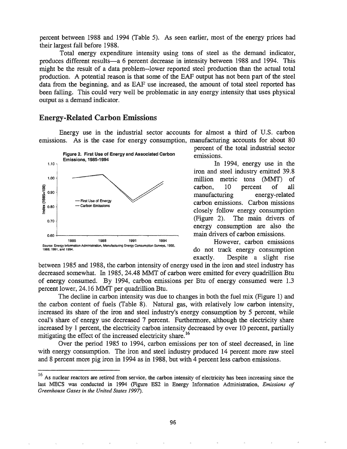percent between 1988 and 1994 (Table 5). As seen earlier, most of the energy prices had their largest fall before 1988.

Total energy expenditure intensity using tons of steel as the demand indicator, produces different results-a 6 percent decrease in intensity between 1988 and 1994. This might be the result of a data problem--lower reported steel production than the actual total production. A potential reason is that some of the EAF output has not been part of the steel data from the beginning, and as EAF use increased, the amount of total steel reported has been falling. This could very well be problematic in any energy intensity that uses physical output as a demand indicator.

## Energy-Related Carbon Emissions

Energy use in the industrial sector accounts for almost a third of U.S. carbon emissions. As is the case for energy consumption, manufacturing accounts for about 80



percent of the total industrial sector emissions.

In 1994, energy use in the iron and steel industry emitted 39.8 million metric tons (MMT) of carbon, 10 percent of all manufacturing energy-related carbon emissions. Carbon missions closely follow energy consumption (Figure 2). The main drivers of energy consumption are also the main drivers of carbon emissions.

However, carbon emissions do not track energy consumption exactly. Despite a slight rise

between 1985 and 1988, the carbon intensity of energy used in the iron and steel industry has decreased somewhat. In 1985,24.48 MMT of carbon were emitted for every quadrillion Btu of energy consumed. By 1994, carbon emissions per Btu of energy consumed were 1.3 percent lower, 24.16 MMT per quadrillion Btu.

The decline in carbon intensity was due to changes in both the fuel mix (Figure 1) and the carbon content of fuels (Table 8). Natural gas, with relatively low carbon intensity, increased its share of the iron and steel industry's energy consumption by 5 percent, while coal's share of energy use decreased 7 percent. Furthermore, although the electricity share increased by 1 percent, the electricity carbon intensity decreased by over 10 percent, partially mitigating the effect of the increased electricity share.<sup>16</sup>

Over the period 1985 to 1994, carbon emissions per ton of steel decreased, in line with energy consumption. The iron and steel industry produced 14 percent more raw steel and 8 percent more pig iron in 1994 as in 1988, but with 4 percent less carbon emissions.

<sup>&</sup>lt;sup>16</sup> As nuclear reactors are retired from service, the carbon intensity of electricity has been increasing since the last MECS was conducted in 1994 (Figure ES2 in Energy Information Administration, *Emissions of Greenhouse Gases in the United States 1997).*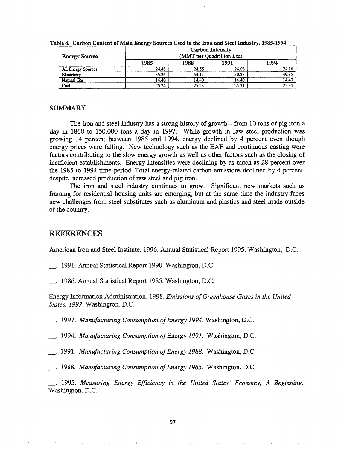| <b>Energy Source</b> | <b>Carbon Intensity</b><br>(MMT per Quadrillion Btu) |       |       |       |  |  |  |
|----------------------|------------------------------------------------------|-------|-------|-------|--|--|--|
|                      | 1985                                                 | 1988  | 1991  | 1994  |  |  |  |
| All Energy Sources   | 24.48                                                | 24.55 | 24.06 | 24.16 |  |  |  |
| Electricity          | 55.36                                                | 54.11 | 50.25 | 49.35 |  |  |  |
| Natural Gas          | 14.40                                                | 14.40 | 14.40 | 14.40 |  |  |  |
| Coal                 | 25.24                                                | 25.23 | 25.31 | 25.34 |  |  |  |

Table 8. Carbon Content of Main Energy Sources Used in the Iron and Steel Industry, 1985-1994

### **SUMMARY**

The iron and steel industry has a strong history of growth—from 10 tons of pig iron a day in 1860 to 150,000 tons a day in 1997. While growth in raw steel production was growing 14 percent between 1985 and 1994, energy declined by 4 percent even though energy prices were falling. New technology such as the EAF and continuous casting were factors contributing to the slow energy growth as well as other factors such as the closing of inefficient establishments. Energy intensities were declining by as much as 28 percent over the 1985 to 1994 time period. Total energy-related carbon emissions declined by 4 percent, despite increased production of raw steel and pig iron.

The iron and steel industry continues to grow. Significant new markets such as framing for residential housing units are emerging, but at the same time the industry faces new challenges from steel substitutes such as aluminum and plastics and steel made outside of the country.

## **REFERENCES**

American Iron and Steel Institute. 1996. Annual Statistical Report 1995. Washington, D.C.

. 1991. Annual Statistical Report 1990. Washington, D.C.

. 1986. Annual Statistical Report 1985. Washington, D.C.

Energy Information Administration. 1998. Emissions of Greenhouse Gases in the United States, 1997. Washington, D.C.

1997. Manufacturing Consumption of Energy 1994. Washington, D.C.

1994. Manufacturing Consumption of Energy 1991. Washington, D.C.

1991. Manufacturing Consumption of Energy 1988. Washington, D.C.

1988. Manufacturing Consumption of Energy 1985. Washington, D.C.

. 1995. Measuring Energy Efficiency in the United States' Economy, A Beginning. Washington, D.C.